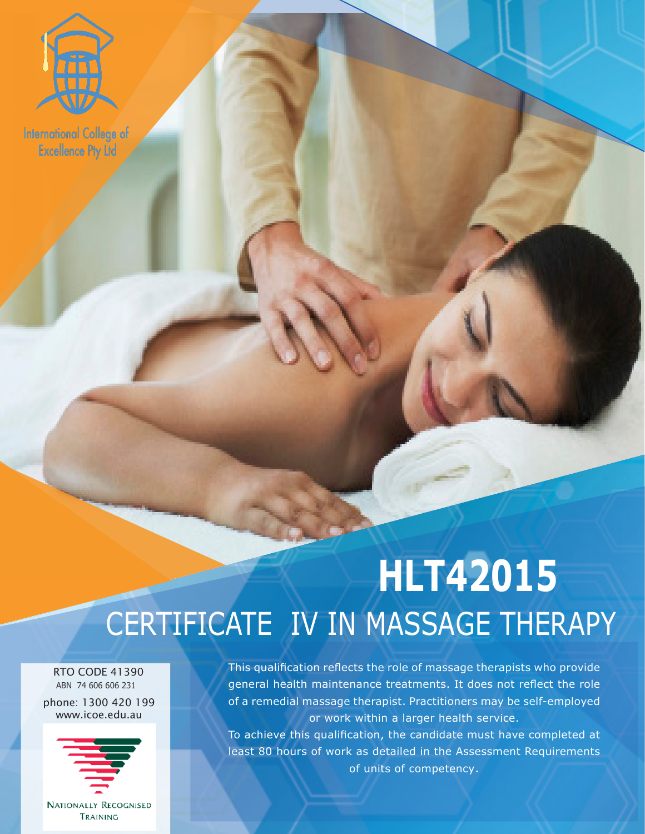

**International College of Excellence Pty Ltd** 

## **HLT42015** CERTIFICATE IV IN MASSAGE THERAPY

**EXCELLENCE PTY LTD** 

 RTO CODE 41390 ABN 74 606 606 231

phone: 1300 420 199 www.icoe.edu.au



**NATIONALLY RECOGNISED** TRAINING

This qualification reflects the role of massage therapists who provide general health maintenance treatments. It does not reflect the role of a remedial massage therapist. Practitioners may be self-employed or work within a larger health service.

To achieve this qualification, the candidate must have completed at least 80 hours of work as detailed in the Assessment Requirements of units of competency.